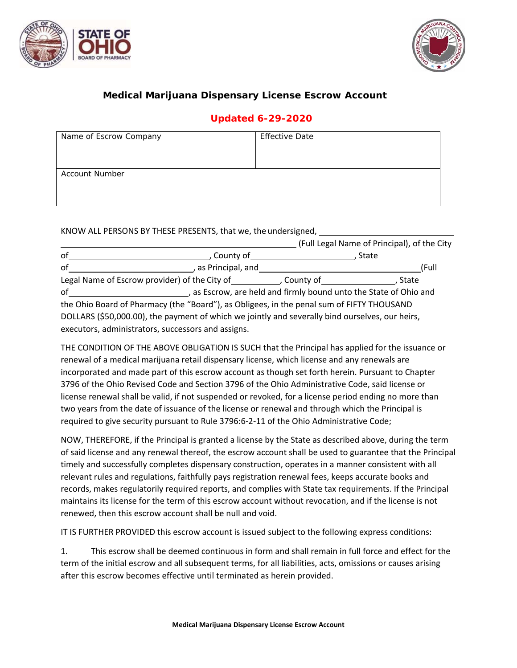



## **Medical Marijuana Dispensary License Escrow Account**

## **Updated 6-29-2020**

| Name of Escrow Company | <b>Effective Date</b> |  |  |
|------------------------|-----------------------|--|--|
|                        |                       |  |  |
|                        |                       |  |  |
| <b>Account Number</b>  |                       |  |  |
|                        |                       |  |  |
|                        |                       |  |  |

KNOW ALL PERSONS BY THESE PRESENTS, that we, the undersigned,

|    |                                                                                                 |                                                                 | (Full Legal Name of Principal), of the City |
|----|-------------------------------------------------------------------------------------------------|-----------------------------------------------------------------|---------------------------------------------|
| of | County of                                                                                       |                                                                 | State                                       |
| of | , as Principal, and                                                                             |                                                                 | (Full                                       |
|    | Legal Name of Escrow provider) of the City of                                                   | , County of <b>contract and contract to the contract of</b>     | State                                       |
| of |                                                                                                 | as Escrow, are held and firmly bound unto the State of Ohio and |                                             |
|    | the Ohio Board of Pharmacy (the "Board"), as Obligees, in the penal sum of FIFTY THOUSAND       |                                                                 |                                             |
|    | DOLLARS (\$50,000.00), the payment of which we jointly and severally bind ourselves, our heirs, |                                                                 |                                             |
|    | executors, administrators, successors and assigns.                                              |                                                                 |                                             |

THE CONDITION OF THE ABOVE OBLIGATION IS SUCH that the Principal has applied for the issuance or renewal of a medical marijuana retail dispensary license, which license and any renewals are incorporated and made part of this escrow account as though set forth herein. Pursuant to Chapter 3796 of the Ohio Revised Code and Section 3796 of the Ohio Administrative Code, said license or license renewal shall be valid, if not suspended or revoked, for a license period ending no more than two years from the date of issuance of the license or renewal and through which the Principal is required to give security pursuant to Rule 3796:6‐2‐11 of the Ohio Administrative Code;

NOW, THEREFORE, if the Principal is granted a license by the State as described above, during the term of said license and any renewal thereof, the escrow account shall be used to guarantee that the Principal timely and successfully completes dispensary construction, operates in a manner consistent with all relevant rules and regulations, faithfully pays registration renewal fees, keeps accurate books and records, makes regulatorily required reports, and complies with State tax requirements. If the Principal maintains its license for the term of this escrow account without revocation, and if the license is not renewed, then this escrow account shall be null and void.

IT IS FURTHER PROVIDED this escrow account is issued subject to the following express conditions:

1. This escrow shall be deemed continuous in form and shall remain in full force and effect for the term of the initial escrow and all subsequent terms, for all liabilities, acts, omissions or causes arising after this escrow becomes effective until terminated as herein provided.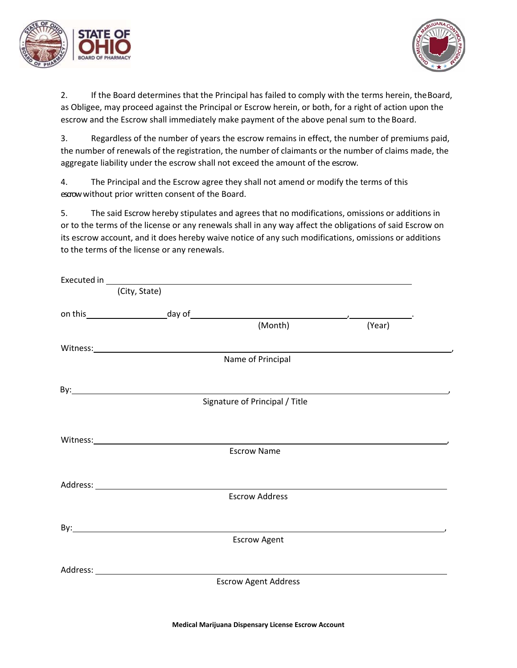



2. If the Board determines that the Principal has failed to comply with the terms herein, theBoard, as Obligee, may proceed against the Principal or Escrow herein, or both, for a right of action upon the escrow and the Escrow shall immediately make payment of the above penal sum to the Board.

3. Regardless of the number of years the escrow remains in effect, the number of premiums paid, the number of renewals of the registration, the number of claimants or the number of claims made, the aggregate liability under the escrow shall not exceed the amount of the escrow.

4. The Principal and the Escrow agree they shall not amend or modify the terms of this escrow without prior written consent of the Board.

5. The said Escrow hereby stipulates and agrees that no modifications, omissions or additions in or to the terms of the license or any renewals shall in any way affect the obligations of said Escrow on its escrow account, and it does hereby waive notice of any such modifications, omissions or additions to the terms of the license or any renewals.

|                                                                                                                                                                                                                                | Executed in <b>Executed</b> in <b>Executed</b> in <b>Executed</b> in <b>Executed</b> in <b>Executed</b> in <b>Executed</b> in <b>Executed</b> in <b>Executed</b> in <b>Executed</b> in <b>Executed</b> in <b>Executed</b> in <b>Executed</b> in <b>Executed</b> in <b>Executed</b> in <b>Executed</b> in |        |  |
|--------------------------------------------------------------------------------------------------------------------------------------------------------------------------------------------------------------------------------|----------------------------------------------------------------------------------------------------------------------------------------------------------------------------------------------------------------------------------------------------------------------------------------------------------|--------|--|
| (City, State)                                                                                                                                                                                                                  |                                                                                                                                                                                                                                                                                                          |        |  |
|                                                                                                                                                                                                                                |                                                                                                                                                                                                                                                                                                          |        |  |
|                                                                                                                                                                                                                                | (Month)                                                                                                                                                                                                                                                                                                  | (Year) |  |
| Witness: Witness and the contract of the contract of the contract of the contract of the contract of the contract of the contract of the contract of the contract of the contract of the contract of the contract of the contr |                                                                                                                                                                                                                                                                                                          |        |  |
|                                                                                                                                                                                                                                | Name of Principal                                                                                                                                                                                                                                                                                        |        |  |
|                                                                                                                                                                                                                                |                                                                                                                                                                                                                                                                                                          |        |  |
|                                                                                                                                                                                                                                | Signature of Principal / Title                                                                                                                                                                                                                                                                           |        |  |
|                                                                                                                                                                                                                                | Witness: Witness: Witness and Witness and Witness and Witness and Witness and Witness and Witness and Witness                                                                                                                                                                                            |        |  |
|                                                                                                                                                                                                                                | <b>Escrow Name</b>                                                                                                                                                                                                                                                                                       |        |  |
|                                                                                                                                                                                                                                |                                                                                                                                                                                                                                                                                                          |        |  |
|                                                                                                                                                                                                                                | <b>Escrow Address</b>                                                                                                                                                                                                                                                                                    |        |  |
|                                                                                                                                                                                                                                |                                                                                                                                                                                                                                                                                                          |        |  |
|                                                                                                                                                                                                                                | <b>Escrow Agent</b>                                                                                                                                                                                                                                                                                      |        |  |
|                                                                                                                                                                                                                                |                                                                                                                                                                                                                                                                                                          |        |  |
|                                                                                                                                                                                                                                | <b>Escrow Agent Address</b>                                                                                                                                                                                                                                                                              |        |  |
|                                                                                                                                                                                                                                |                                                                                                                                                                                                                                                                                                          |        |  |